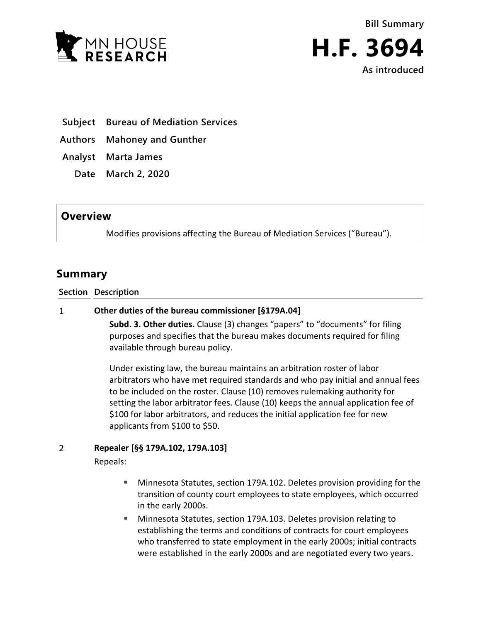MN HOUSE



**Subject Bureau of Mediation Services**

**Authors Mahoney and Gunther**

- **Analyst Marta James**
	- **Date March 2, 2020**

## **Overview**

Modifies provisions affecting the Bureau of Mediation Services ("Bureau").

# **Summary**

### **Section Description**

#### $\mathbf{1}$ **Other duties of the bureau commissioner [§179A.04]**

**Subd. 3. Other duties.** Clause (3) changes "papers" to "documents" for filing purposes and specifies that the bureau makes documents required for filing available through bureau policy.

Under existing law, the bureau maintains an arbitration roster of labor arbitrators who have met required standards and who pay initial and annual fees to be included on the roster. Clause (10) removes rulemaking authority for setting the labor arbitrator fees. Clause (10) keeps the annual application fee of \$100 for labor arbitrators, and reduces the initial application fee for new applicants from \$100 to \$50.

### $\overline{2}$ **Repealer [§§ 179A.102, 179A.103]**

Repeals:

- Minnesota Statutes, section 179A.102. Deletes provision providing for the transition of county court employees to state employees, which occurred in the early 2000s.
- Minnesota Statutes, section 179A.103. Deletes provision relating to establishing the terms and conditions of contracts for court employees who transferred to state employment in the early 2000s; initial contracts were established in the early 2000s and are negotiated every two years.